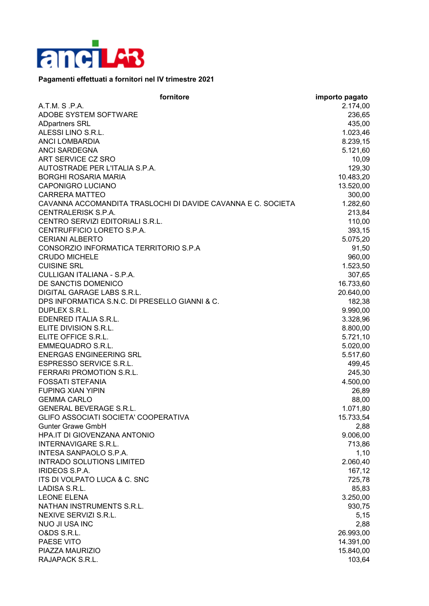

## **Pagamenti effettuati a fornitori nel IV trimestre 2021**

| fornitore                                                    | importo pagato |
|--------------------------------------------------------------|----------------|
| A.T.M. S.P.A.                                                | 2.174,00       |
| ADOBE SYSTEM SOFTWARE                                        | 236,65         |
| <b>ADpartners SRL</b>                                        | 435,00         |
| ALESSI LINO S.R.L.                                           | 1.023,46       |
| <b>ANCI LOMBARDIA</b>                                        | 8.239,15       |
| <b>ANCI SARDEGNA</b>                                         | 5.121,60       |
| ART SERVICE CZ SRO                                           | 10,09          |
| AUTOSTRADE PER L'ITALIA S.P.A.                               | 129,30         |
| <b>BORGHI ROSARIA MARIA</b>                                  | 10.483,20      |
| <b>CAPONIGRO LUCIANO</b>                                     | 13.520,00      |
| <b>CARRERA MATTEO</b>                                        |                |
|                                                              | 300,00         |
| CAVANNA ACCOMANDITA TRASLOCHI DI DAVIDE CAVANNA E C. SOCIETA | 1.282,60       |
| CENTRALERISK S.P.A.                                          | 213,84         |
| CENTRO SERVIZI EDITORIALI S.R.L.                             | 110,00         |
| CENTRUFFICIO LORETO S.P.A.                                   | 393,15         |
| <b>CERIANI ALBERTO</b>                                       | 5.075,20       |
| CONSORZIO INFORMATICA TERRITORIO S.P.A                       | 91,50          |
| <b>CRUDO MICHELE</b>                                         | 960,00         |
| <b>CUISINE SRL</b>                                           | 1.523,50       |
| CULLIGAN ITALIANA - S.P.A.                                   | 307,65         |
| DE SANCTIS DOMENICO                                          | 16.733,60      |
| DIGITAL GARAGE LABS S.R.L.                                   | 20.640,00      |
| DPS INFORMATICA S.N.C. DI PRESELLO GIANNI & C.               | 182,38         |
| DUPLEX S.R.L.                                                | 9.990,00       |
| EDENRED ITALIA S.R.L.                                        | 3.328,96       |
| ELITE DIVISION S.R.L.                                        | 8.800,00       |
| ELITE OFFICE S.R.L.                                          | 5.721,10       |
| <b>EMMEQUADRO S.R.L.</b>                                     | 5.020,00       |
| <b>ENERGAS ENGINEERING SRL</b>                               | 5.517,60       |
| <b>ESPRESSO SERVICE S.R.L.</b>                               | 499,45         |
| FERRARI PROMOTION S.R.L.                                     | 245,30         |
| <b>FOSSATI STEFANIA</b>                                      | 4.500,00       |
| <b>FUPING XIAN YIPIN</b>                                     | 26,89          |
| <b>GEMMA CARLO</b>                                           | 88,00          |
| <b>GENERAL BEVERAGE S.R.L.</b>                               | 1.071,80       |
| GLIFO ASSOCIATI SOCIETA' COOPERATIVA                         | 15.733,54      |
| <b>Gunter Grawe GmbH</b>                                     | 2,88           |
| HPA.IT DI GIOVENZANA ANTONIO                                 | 9.006,00       |
| <b>INTERNAVIGARE S.R.L.</b>                                  | 713,86         |
| <b>INTESA SANPAOLO S.P.A.</b>                                | 1,10           |
| <b>INTRADO SOLUTIONS LIMITED</b>                             | 2.060,40       |
| IRIDEOS S.P.A.                                               | 167,12         |
| ITS DI VOLPATO LUCA & C. SNC                                 |                |
| LADISA S.R.L.                                                | 725,78         |
|                                                              | 85,83          |
| <b>LEONE ELENA</b>                                           | 3.250,00       |
| NATHAN INSTRUMENTS S.R.L.                                    | 930,75         |
| NEXIVE SERVIZI S.R.L.                                        | 5,15           |
| <b>NUO JI USA INC</b>                                        | 2,88           |
| O&DS S.R.L.                                                  | 26.993,00      |
| PAESE VITO                                                   | 14.391,00      |
| PIAZZA MAURIZIO                                              | 15.840,00      |
| RAJAPACK S.R.L.                                              | 103,64         |